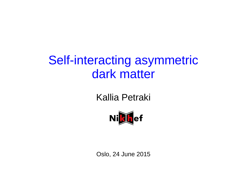## Self-interacting asymmetric dark matter

## Kallia Petraki



Oslo, 24 June 2015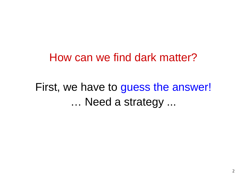## How can we find dark matter?

## First, we have to guess the answer! … Need a strategy ...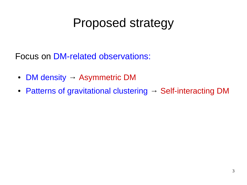# Proposed strategy

Focus on DM-related observations:

- DM density  $\rightarrow$  Asymmetric DM
- Patterns of gravitational clustering  $\rightarrow$  Self-interacting DM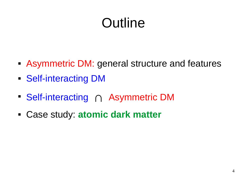# Outline

- Asymmetric DM: general structure and features
- Self-interacting DM
- Self-interacting ∩ Asymmetric DM
- Case study: **atomic dark matter**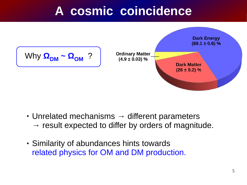## **A cosmic coincidence**



- $\cdot$  Unrelated mechanisms  $\rightarrow$  different parameters  $\rightarrow$  result expected to differ by orders of magnitude.
- Similarity of abundances hints towards related physics for OM and DM production.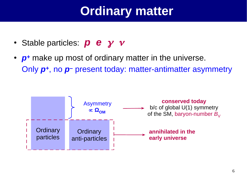## **Ordinary matter**

- Stable particles: *p* **e** *γ v*
- *p*<sup>+</sup> make up most of ordinary matter in the universe. Only *p+*, no *p–* present today: matter-antimatter asymmetry

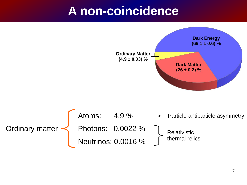## **A non-coincidence**

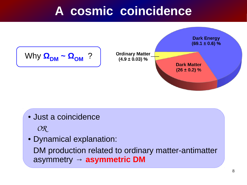## **A cosmic coincidence**



• Just a coincidence

 *OR*

• Dynamical explanation:

DM production related to ordinary matter-antimatter asymmetry **→ asymmetric DM**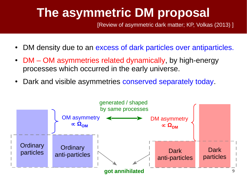## **The asymmetric DM proposal**

[Review of asymmetric dark matter; KP, Volkas (2013) ]

- DM density due to an excess of dark particles over antiparticles.
- DM OM asymmetries related dynamically, by high-energy processes which occurred in the early universe.
- Dark and visible asymmetries conserved separately today.

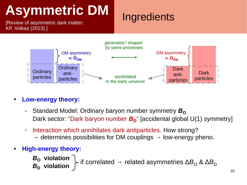[Review of asymmetric dark matter; KP, Volkas (2013) ]

## **Ingredients**



- **Low-energy theory:**
	- ▸ Standard Model: Ordinary baryon number symmetry **B**<sub>O</sub> Dark sector: "Dark baryon number  $B_D$ " [accidental global U(1) symmetry]
	- ➢ Interaction which annihilates dark antiparticles. How strong?
		- $\rightarrow$  determines possibilities for DM couplings  $\rightarrow$  low-energy pheno.
- **High-energy theory:**

*B***O violation** *B***<sup>D</sup> violation**  $\triangleright$  if correlated → related asymmetries ΔB<sub>O</sub> & ΔB<sub>D</sub>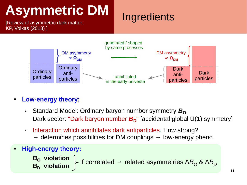[Review of asymmetric dark matter; KP, Volkas (2013) ]

## **Ingredients**



- **Low-energy theory:**
	- ▸ Standard Model: Ordinary baryon number symmetry **B**<sub>O</sub> Dark sector: "Dark baryon number  $B_D$ " [accidental global U(1) symmetry]
	- ➢ Interaction which annihilates dark antiparticles. How strong?
		- $\rightarrow$  determines possibilities for DM couplings  $\rightarrow$  low-energy pheno.
- **High-energy theory:**

*B***O violation** *B***<sup>D</sup> violation**  $\triangleright$  if correlated → related asymmetries ΔB<sub>O</sub> & ΔB<sub>D</sub>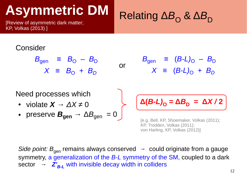[Review of asymmetric dark matter; KP, Volkas (2013) ]

# Relating Δ $B$ <sub>O</sub> & Δ $B$ <sub>D</sub>

#### Consider

$$
B_{gen} \equiv B_0 - B_D
$$
  

$$
X \equiv B_0 + B_D
$$

 $B_{gen}$  =  $(B-L)_O - B_D$  $X \equiv (B-L)_O + B_D$ 

Need processes which • violate  $X \rightarrow \Delta X \neq 0$ • preserve  $B_{\text{gen}} \rightarrow \Delta B_{\text{gen}} = 0$ 

 $\Delta$ (*B-L*)<sub>O</sub> =  $\Delta$ *B*<sub>D</sub> =  $\Delta$ *X* / 2

[e.g. Bell, KP, Shoemaker, Volkas (2011); KP, Trodden, Volkas (2011); von Harling, KP, Volkas (2012)]

*Side point:*  $B_{\text{gen}}$  remains always conserved  $\rightarrow$  could originate from a gauge symmetry, a generalization of the *B-L* symmetry of the SM, coupled to a dark sector  $\rightarrow$   $Z'_{B-L}$  with invisible decay width in colliders

or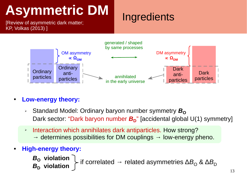[Review of asymmetric dark matter; KP, Volkas (2013) ]

## **Ingredients**



- **Low-energy theory:**
	- ▸ Standard Model: Ordinary baryon number symmetry **B**<sub>O</sub> Dark sector: "Dark baryon number  $B_D$ " [accidental global U(1) symmetry]
	- ➢ Interaction which annihilates dark antiparticles. How strong?
		- $\rightarrow$  determines possibilities for DM couplings  $\rightarrow$  low-energy pheno.
- **High-energy theory:**

*B***O violation** *B***<sup>D</sup> violation**  $\triangleright$  if correlated → related asymmetries ΔB<sub>O</sub> & ΔB<sub>D</sub>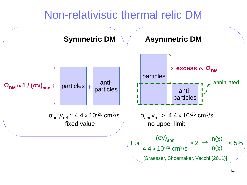## Non-relativistic thermal relic DM

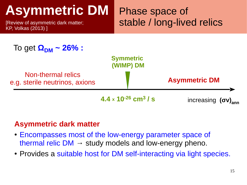[Review of asymmetric dark matter; KP, Volkas (2013) ]

Phase space of stable / long-lived relics



#### **Asymmetric dark matter**

- Encompasses most of the low-energy parameter space of thermal relic  $DM \rightarrow$  study models and low-energy pheno.
- Provides a suitable host for DM self-interacting via light species.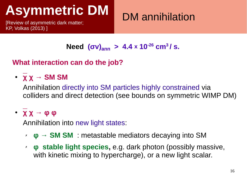[Review of asymmetric dark matter; KP, Volkas (2013) ]

## DM annihilation

### **Need**  $(σv)_{\text{ann}} > 4.4 \times 10^{-26}$  cm<sup>3</sup>/ s.

#### **What interaction can do the job?**

#### ● **χ χ → SM SM**

Annihilation directly into SM particles highly constrained via colliders and direct detection (see bounds on symmetric WIMP DM)

#### ● **χ χ → φ φ**

Annihilation into new light states:

- ✗ **φ → SM SM** : metastable mediators decaying into SM
- ✗ **φ stable light species,** e.g. dark photon (possibly massive, with kinetic mixing to hypercharge), or a new light scalar.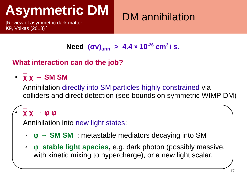[Review of asymmetric dark matter; KP, Volkas (2013) ]

## DM annihilation

## **Need**  $(σv)_{\text{ann}} > 4.4 \times 10^{-26}$  cm<sup>3</sup>/ s.

#### **What interaction can do the job?**

### ● **χ χ → SM SM**

Annihilation directly into SM particles highly constrained via colliders and direct detection (see bounds on symmetric WIMP DM)

### ● **χ χ → φ φ**

Annihilation into new light states:

- ✗ **φ → SM SM** : metastable mediators decaying into SM
- ✗ **φ stable light species,** e.g. dark photon (possibly massive, with kinetic mixing to hypercharge), or a new light scalar.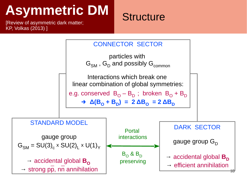[Review of asymmetric dark matter; KP, Volkas (2013) ]

## **Structure**

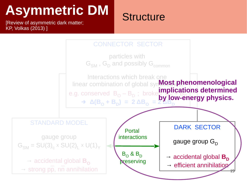[Review of asymmetric dark matter; KP, Volkas (2013) ]

## **Structure**

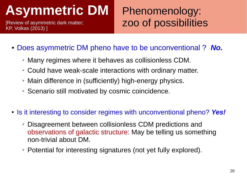[Review of asymmetric dark matter; KP, Volkas (2013) ]

## Phenomenology: zoo of possibilities

- Does asymmetric DM pheno have to be unconventional ? *No.* 
	- ➢ Many regimes where it behaves as collisionless CDM.
	- ➢ Could have weak-scale interactions with ordinary matter.
	- ➢ Main difference in (sufficiently) high-energy physics.
	- ➢ Scenario still motivated by cosmic coincidence.
- Is it interesting to consider regimes with unconventional pheno? Yes!
	- ➢ Disagreement between collisionless CDM predictions and observations of galactic structure: May be telling us something non-trivial about DM.
	- ➢ Potential for interesting signatures (not yet fully explored).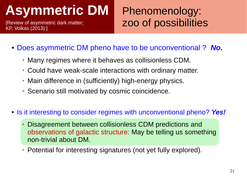[Review of asymmetric dark matter; KP, Volkas (2013) ]

## Phenomenology: zoo of possibilities

- Does asymmetric DM pheno have to be unconventional ? *No.* 
	- ➢ Many regimes where it behaves as collisionless CDM.
	- ➢ Could have weak-scale interactions with ordinary matter.
	- ➢ Main difference in (sufficiently) high-energy physics.
	- ➢ Scenario still motivated by cosmic coincidence.
- Is it interesting to consider regimes with unconventional pheno? Yes!
	- ➢ Disagreement between collisionless CDM predictions and observations of galactic structure: May be telling us something non-trivial about DM.
	- ➢ Potential for interesting signatures (not yet fully explored).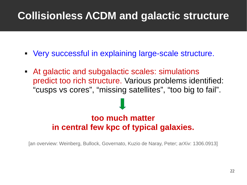## **Collisionless ΛCDM and galactic structure**

- Very successful in explaining large-scale structure.
- At galactic and subgalactic scales: simulations predict too rich structure. Various problems identified: "cusps vs cores", "missing satellites", "too big to fail".

### **too much matter in central few kpc of typical galaxies.**

[an overview: Weinberg, Bullock, Governato, Kuzio de Naray, Peter; arXiv: 1306.0913]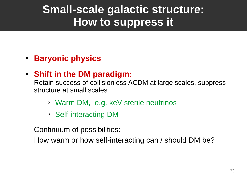## **Small-scale galactic structure: How to suppress it**

#### **Baryonic physics**

### **Shift in the DM paradigm:**

Retain success of collisionless ΛCDM at large scales, suppress structure at small scales

- ➢ Warm DM, e.g. keV sterile neutrinos
- ➢ Self-interacting DM

Continuum of possibilities:

How warm or how self-interacting can / should DM be?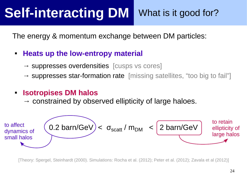#### **Self-interacting DM**  What is it good for?

The energy & momentum exchange between DM particles:

#### **Heats up the low-entropy material**

- $\rightarrow$  suppresses overdensities [cusps vs cores]
- $\rightarrow$  suppresses star-formation rate [missing satellites, "too big to fail"]

#### $\blacksquare$ **Isotropises DM halos**

 $\rightarrow$  constrained by observed ellipticity of large haloes.



[Theory: Spergel, Steinhardt (2000). Simulations: Rocha et al. (2012); Peter et al. (2012); Zavala et al (2012)]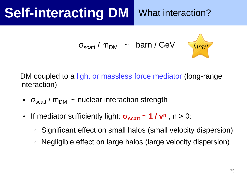# **Self-interacting DM** What interaction?

```
σ<sub>scatt</sub> / m<sub>DM</sub>   ~   barn / GeV       (arge!
```


DM coupled to a light or massless force mediator (long-range interaction)

- $\sigma_{scatt}$  /  $m_{DM}$  ~ nuclear interaction strength
- If mediator sufficiently light:  $\sigma_{scatt} \sim 1 / v^n$ , n > 0:
	- ➢ Significant effect on small halos (small velocity dispersion)
	- ➢ Negligible effect on large halos (large velocity dispersion)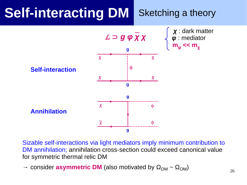#### **Self-interacting DM**  Sketching a theory



Sizable self-interactions via light mediators imply minimum contribution to DM annihilation; annihilation cross-section could exceed canonical value for symmetric thermal relic DM

 $\rightarrow$  consider **asymmetric DM** (also motivated by  $\Omega_{DM} \sim \Omega_{OM}$ )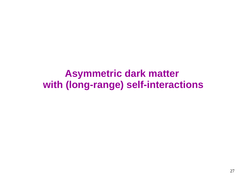## **Asymmetric dark matter with (long-range) self-interactions**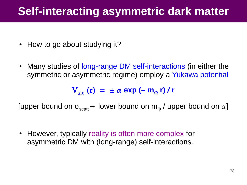## **Self-interacting asymmetric dark matter**

- How to go about studying it?
- Many studies of long-range DM self-interactions (in either the symmetric or asymmetric regime) employ a Yukawa potential

 $V_{\gamma\gamma}$  (r) =  $\pm \alpha$  exp (– m<sub>o</sub> r) / r

[upper bound on  $\sigma_{scatt} \rightarrow$  lower bound on  $m_{\omega}$  / upper bound on  $\alpha$ ]

• However, typically reality is often more complex for asymmetric DM with (long-range) self-interactions.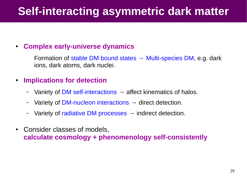## **Self-interacting asymmetric dark matter**

#### ● **Complex early-universe dynamics**

Formation of stable DM bound states  $\rightarrow$  Multi-species DM, e.g. dark ions, dark atoms, dark nuclei.

#### ● **Implications for detection**

- Variety of DM self-interactions  $\rightarrow$  affect kinematics of halos.
- Variety of DM-nucleon interactions  $\rightarrow$  direct detection.
- Variety of radiative DM processes  $\rightarrow$  indirect detection.
- Consider classes of models, **calculate cosmology + phenomenology self-consistently**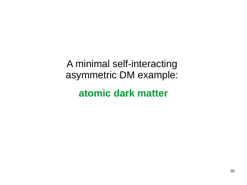A minimal self-interacting asymmetric DM example:

**atomic dark matter**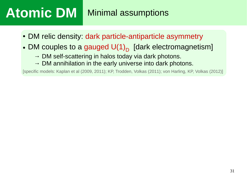- DM relic density: dark particle-antiparticle asymmetry
- DM couples to a gauged  $\mathsf{U(1)}_\mathsf{D}$  [dark electromagnetism]
	- $\rightarrow$  DM self-scattering in halos today via dark photons.
	- $\rightarrow$  DM annihilation in the early universe into dark photons.

[specific models: Kaplan et al (2009, 2011); KP, Trodden, Volkas (2011); von Harling, KP, Volkas (2012)]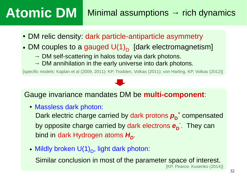## **Atomic DM**  $\blacksquare$  Minimal assumptions  $\rightarrow$  rich dynamics

- DM relic density: dark particle-antiparticle asymmetry
- DM couples to a gauged  $\mathsf{U(1)}_\mathsf{D}$  [dark electromagnetism]
	- $\rightarrow$  DM self-scattering in halos today via dark photons.
	- $\rightarrow$  DM annihilation in the early universe into dark photons.

[specific models: Kaplan et al (2009, 2011); KP, Trodden, Volkas (2011); von Harling, KP, Volkas (2012)]

#### Gauge invariance mandates DM be **multi-component**:

• Massless dark photon:

Dark electric charge carried by dark protons  $p_{\overline{D}}^+$  compensated by opposite charge carried by dark electrons  $\mathbf{e}_{\mathbf{D}}$  . They can bind in dark Hydrogen atoms  $H_D^{\vphantom{\dagger}}$ .

• Mildly broken  $\mathsf{U(1)}_\mathsf{D}$ , light dark photon:

Similar conclusion in most of the parameter space of interest.

[KP, Pearce, Kusenko (2014)]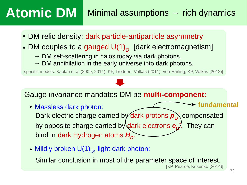## **Atomic DM**  $\blacksquare$  Minimal assumptions  $\rightarrow$  rich dynamics

- DM relic density: dark particle-antiparticle asymmetry
- DM couples to a gauged  $\mathsf{U(1)}_\mathsf{D}$  [dark electromagnetism]
	- $\rightarrow$  DM self-scattering in halos today via dark photons.
	- $\rightarrow$  DM annihilation in the early universe into dark photons.

[specific models: Kaplan et al (2009, 2011); KP, Trodden, Volkas (2011); von Harling, KP, Volkas (2012)]

Gauge invariance mandates DM be **multi-component**:

- Massless dark photon: Dark electric charge carried by dark protons  $p_{\text{D}}^+$  compensated by opposite charge carried by dark electrons  $\mathbf{e}_{\mathbf{p}^{\prime}}$ . They can bind in dark Hydrogen atoms *H<sup>D</sup>* . **fundamental**
- Mildly broken  $\mathsf{U(1)}_\mathsf{D}$ , light dark photon:

Similar conclusion in most of the parameter space of interest.

[KP, Pearce, Kusenko (2014)]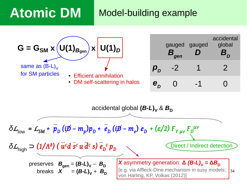## **Atomic DM Model-building example**

| $G = G_{SM} \times (U(1)_{B_{gen}}) \times$<br>$U(1)_D$                                              |               | gauged<br>gen | gauged | accidental<br>global |  |
|------------------------------------------------------------------------------------------------------|---------------|---------------|--------|----------------------|--|
| same as $(B-L)_{V}$<br>for SM particles<br>• Efficient annihilation<br>• DM self-scattering in halos | $\bm{p}_D^{}$ | $-2$          |        |                      |  |
|                                                                                                      | $e_{D}$       |               |        |                      |  |
| accidental global $(B-L)_V \& B_D$                                                                   |               |               |        |                      |  |

$$
\delta L_{\text{low}} = L_{\text{SM}} + \overline{p}_{D} (i\cancel{D} - m_{p}) p_{D} + \overline{e}_{D} (i\cancel{D} - m_{e}) e_{D} + (\varepsilon/2) F_{\gamma \mu\nu} F_{D}^{\mu\nu}
$$
\n
$$
\delta L_{\text{high}} \supset (1/\Lambda^{8}) (\overline{u}^{c}d \overline{s}^{c} u \overline{d}^{c} s) \overline{e}_{D}^{c} p_{D}
$$
\n
$$
\text{preserves } B_{\text{gen}} = (B-L)_{V} - B_{D} \qquad \text{X asymmetry generation: } \Delta (B-L)_{V} = \Delta B_{D} \qquad \text{breaks} \qquad X = (B-L)_{V} + B_{D} \qquad \text{[e.g. via Affleck-Dine mechanism in susy models;}
$$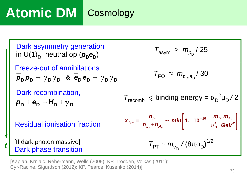# **Atomic DM | Cosmology**

*t*

| Dark asymmetry generation<br>in $U(1)_D$ -neutral op $(p_n e_n)$                                                             | $T_{\text{asym}}$ > $m_{p_{n}}$ / 25                                                                                                        |
|------------------------------------------------------------------------------------------------------------------------------|---------------------------------------------------------------------------------------------------------------------------------------------|
| Freeze-out of annihilations<br>$p_{D}p_{D} \rightarrow \gamma_{D}\gamma_{D}$ & $e_{D}e_{D} \rightarrow \gamma_{D}\gamma_{D}$ | $T_{\rm FO} \approx m_{p_{\rm D},e_{\rm D}}/30$                                                                                             |
| Dark recombination,<br>$p_{\rm D}$ + $e_{\rm D}$ - $H_{\rm D}$ + $\gamma_{\rm D}$                                            | $T_{\text{recomb}} \leq \text{binding energy} = \alpha_{\text{D}}^2 \mu_{\text{D}} / 2$                                                     |
| <b>Residual ionisation fraction</b>                                                                                          | $X_{ion} \equiv \frac{n_{p_b}}{n_{p_b} + n_{H_b}} \sim min \left[ 1, 10^{-10} \frac{m_{p_b} m_{e_b}}{\alpha_{p_b}^4 \text{ GeV}^2} \right]$ |
| [If dark photon massive]<br>Dark phase transition                                                                            | $T_{\text{PT}}$ ~ $m_{\gamma_{\text{D}}}$ / (8πα <sub>D</sub> ) <sup>1/2</sup>                                                              |

[Kaplan, Krnjaic, Rehermann, Wells (2009); KP, Trodden, Volkas (2011); Cyr-Racine, Sigurdson (2012); KP, Pearce, Kusenko (2014)]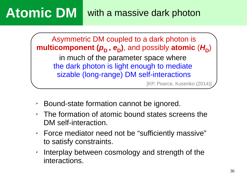**Atomic DM** with a massive dark photon

Asymmetric DM coupled to a dark photon is  $\bm{m}$ ulticomponent ( $\bm{\rho}_{\mathsf{D}}$  ,  $\bm{e}_{\mathsf{D}}$ ), and possibly atomic ( $\bm{\mathsf{H}}_{\mathsf{D}}$ ) in much of the parameter space where the dark photon is light enough to mediate sizable (long-range) DM self-interactions

[KP, Pearce, Kusenko (2014)]

- ➢ Bound-state formation cannot be ignored.
- ➢ The formation of atomic bound states screens the DM self-interaction.
- ➢ Force mediator need not be "sufficiently massive" to satisfy constraints.
- ➢ Interplay between cosmology and strength of the interactions.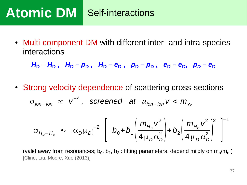# **Atomic DM Self-interactions**

• Multi-component DM with different inter- and intra-species interactions

 $H_D - H_D$ ,  $H_D - p_D$ ,  $H_D - e_D$ ,  $p_D - p_D$ ,  $e_D - e_D$ ,  $p_D - e_D$ 

• Strong velocity dependence of scattering cross-sections

 $\sigma$ <sub>ion−</sub>*ion* ∝  $v^{-4}$ , screened at  $\mu$ <sub>ion−</sub>ion  $v < m_{\gamma_D}$ 

$$
\sigma_{H_D - H_D} \approx (\alpha_D \mu_D)^{-2} \left[ b_0 + b_1 \left( \frac{m_{H_D} v^2}{4 \mu_D \alpha_D^2} \right) + b_2 \left( \frac{m_{H_D} v^2}{4 \mu_D \alpha_D^2} \right)^2 \right]^{-1}
$$

(valid away from resonances; b $_0$ , b $_1$ , b $_2$  : fitting parameters, depend mildly on m $_{\rm p}/{\rm m}_{\rm e}$  ) [Cline, Liu, Moore, Xue (2013)]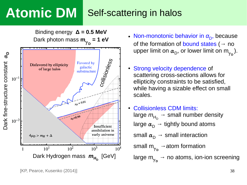#### Self-scattering in halos **Atomic DM**



- Non-monotonic behavior in *α*<sub>D</sub>, because of the formation of bound states ( $\rightarrow$  no upper limit on  $\alpha_{\mathsf{D}}^{},$  or lower limit on m<sub> $\gamma_{\mathsf{D}}^{}$ </sub>).
- Strong velocity dependence of scattering cross-sections allows for ellipticity constraints to be satisfied, while having a sizable effect on small scales.
- Collisionless CDM limits: large  $m_{\mathsf{H}_{\mathsf{D}}}\to\,$  small number density large  $\alpha_{\sf D}^{\phantom{\dagger}} \to$  tightly bound atoms small  $\alpha_{\mathsf{D}}^{\phantom{\dag}} \to$  small interaction small  $\mathsf{m}_{\gamma_\mathsf{D}}^{\vphantom{\gamma}}$   $\to$  atom formation large  $\mathsf{m}_{\gamma_\mathsf{D}}^{\phantom{\beta}}$   $\rightarrow$  no atoms, ion-ion screening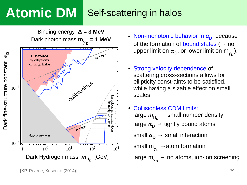#### Self-scattering in halos **Atomic DM**



- Non-monotonic behavior in *α*<sub>D</sub>, because of the formation of bound states ( $\rightarrow$  no upper limit on  $\alpha_{\mathsf{D}}^{},$  or lower limit on m<sub> $\gamma_{\mathsf{D}}^{}$ </sub>).
- Strong velocity dependence of scattering cross-sections allows for ellipticity constraints to be satisfied, while having a sizable effect on small scales.
- Collisionless CDM limits: large  $m_{\mathsf{H}_{\mathsf{D}}}\to\,$  small number density large  $\alpha_{\sf D}^{\phantom{\dagger}} \to$  tightly bound atoms small  $\alpha_{\mathsf{D}}^{\phantom{\dag}} \to$  small interaction small  $\mathsf{m}_{\gamma_\mathsf{D}}^{\vphantom{\gamma}}$   $\to$  atom formation
	- large  $\mathsf{m}_{\gamma_\mathsf{D}}^{\phantom{\beta}}$   $\rightarrow$  no atoms, ion-ion screening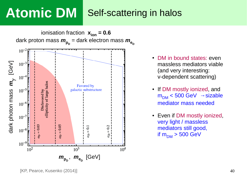# **Atomic DM**

## Self-scattering in halos

ionisation fraction  $x_{ion} = 0.6$  $\alpha$  dark proton mass  $m_{\mathsf{p}_{\mathsf{D}}}^{}$  = dark electron mass  $m_{\mathsf{e}_{\mathsf{D}}}^{}$  $10^{-2}$  $10^{-3}$  $\sum$ e $\Xi$  $10^{-4}$ γ *m*ellipticity of large halos **Favored** by  $10^{-5}$ galactic substructure Disfavored by sທ a $\Xi$  $10^{-6}$  $\mathbf{\Xi}$ ot o $10^{-7}$ 드  $\mathbf{\Omega}$ ark 0.03  $= 0.05$  $= 0.1$  $0.2$  $10^{-8}$ d $a_{\mathcal{I}}$  $\alpha_D$  $10^{-9}$  $10^{2}$  $10^3$  $10^{4}$  $m_{\mathsf{p}_{\mathsf{D}}}, m_{\mathsf{e}_{\mathsf{D}}}$  [GeV]

- DM in bound states: even massless mediators viable (and very interesting: v-dependent scattering)
- If DM mostly ionized, and  $m_{DM}$  < 500 GeV  $\rightarrow$  sizable mediator mass needed
- Even if DM mostly ionized, very light / massless mediators still good, if  $m_{DM} > 500$  GeV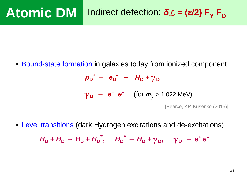#### Indirect detection:  $δL = (ε/2) F<sub>Y</sub> F<sub>D</sub>$ **Atomic DM**

Bound-state formation in galaxies today from ionized component

 $p_{D}^{+}$  +  $e_{D}^{-}$   $\rightarrow$   $H_{D}$  +  $\gamma_{D}$ 

 $\gamma_{\mathbf{D}} \rightarrow \mathbf{e}^{\mathbf{+}} \mathbf{e}^{\mathbf{-}}$  (for  $m_{\gamma} > 1.022$  MeV)

[Pearce, KP, Kusenko (2015)]

 Level transitions (dark Hydrogen excitations and de-excitations)  $H_D + H_D \rightarrow H_D + H_D^*$ ,  $H_D^* \rightarrow H_D + \gamma_D$ ,  $\gamma_D \rightarrow e^+ e^-$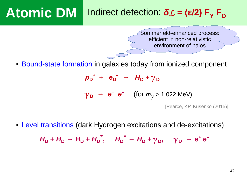#### Indirect detection:  $δL = (ε/2) F<sub>Y</sub> F<sub>D</sub>$ **Atomic DM**

Sommerfeld-enhanced process: efficient in non-relativistic environment of halos

Bound-state formation in galaxies today from ionized component

 $p_{D}^{+}$  +  $e_{D}^{-}$   $\rightarrow$   $H_{D}$  +  $\gamma_{D}$ 

 $\gamma_{\mathbf{D}} \rightarrow \mathbf{e}^{\mathbf{+}} \mathbf{e}^{\mathbf{-}}$  (for  $m_{\gamma} > 1.022$  MeV)

[Pearce, KP, Kusenko (2015)]

 Level transitions (dark Hydrogen excitations and de-excitations)  $H_D + H_D \rightarrow H_D + H_D^*$ ,  $H_D^* \rightarrow H_D + \gamma_D$ ,  $\gamma_D \rightarrow e^+ e^-$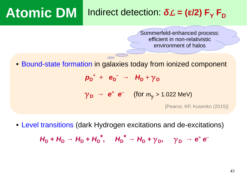#### Indirect detection:  $δL = (ε/2) F<sub>Y</sub> F<sub>D</sub>$ **Atomic DM**

Sommerfeld-enhanced process: efficient in non-relativistic environment of halos

Bound-state formation in galaxies today from ionized component

 $p_{D}^{+}$  +  $e_{D}^{-}$   $\rightarrow$   $H_{D}$  +  $\gamma_{D}$ 

 $\gamma_{D}$  → *e***<sup>+</sup>** *e***<sup>–</sup> (for**  $m_{\gamma}$  **> 1.022 MeV)** 

[Pearce, KP, Kusenko (2015)]

 Level transitions (dark Hydrogen excitations and de-excitations)  $H_D + H_D \rightarrow H_D + H_D^*$ ,  $H_D^* \rightarrow H_D + \gamma_D$ ,  $\gamma_D \rightarrow e^+ e^-$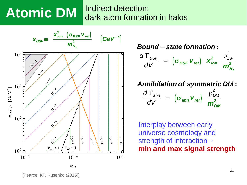# **Atomic DM**

### Indirect detection: dark-atom formation in halos



*Bound*−*state formation* **:**  $d\ \Gamma_{\mathit{BSF}}$ *dV*  $=$   $(\sigma_{BSF}$  **v**<sub>rel</sub> $)$  **x**<sup>2</sup><sub>ion</sub> 2  $\rho_{DM}^2$  $m_{H_{\scriptscriptstyle D}}^2$ 

#### *Annihilation of symmetric DM* **:**

$$
\frac{d\Gamma_{\text{ann}}}{dV} = (\sigma_{\text{ann}}\,\mathbf{v}_{\text{rel}})\,\frac{\rho_{\text{DM}}^2}{m_{\text{DM}}^2}
$$

Interplay between early universe cosmology and strength of interaction→  $\left(\begin{array}{c} \sqrt{2} \\ \sqrt{2} \\ x_{ion} = 1 \end{array}\right)$   $\times \left[\begin{array}{c} \frac{1}{2} \\ \frac{1}{2} \\ x_{ion} = 1 \end{array}\right]$   $\times \left[\begin{array}{c} \frac{1}{2} \\ \frac{1}{2} \\ x_{ion} = 1 \end{array}\right]$   $\times \left[\begin{array}{c} \frac{1}{2} \\ \frac{1}{2} \\ x_{ion} = 1 \end{array}\right]$   $\times \left[\begin{array}{c} \frac{1}{2} \\ \frac{1}{2} \\ x_{ion} = 1 \end{array}\right]$   $\times \left[\begin$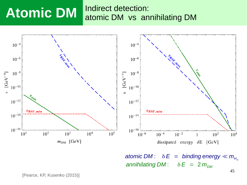#### Indirect detection: atomic DM vs annihilating DM **Atomic DM**



*atomic DM* :  $\delta E = binding$  *energy*  $\ll m_{H_0}$  $\alpha$ *annihilating DM* :  $\delta E = 2 m_{DM}$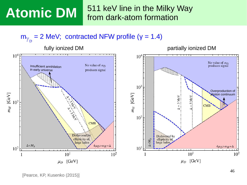# **Atomic DM**

511 keV line in the Milky Way from dark-atom formation

 $m_{\gamma_D}$  = 2 MeV; contracted NFW profile (y = 1.4)

#### fully ionized DM **partially ionized** DM



[Pearce, KP, Kusenko (2015)]

46